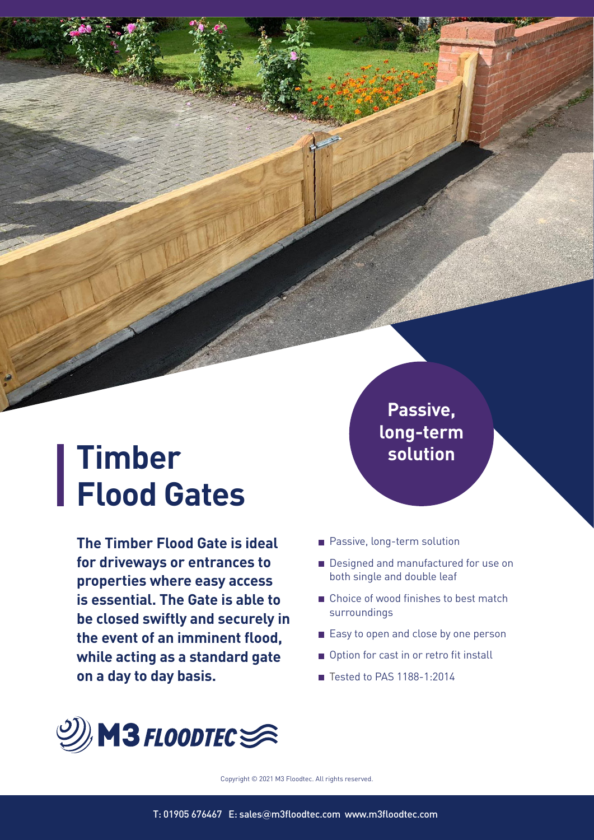# **Timber Flood Gates**

**The Timber Flood Gate is ideal for driveways or entrances to properties where easy access is essential. The Gate is able to be closed swiftly and securely in the event of an imminent flood, while acting as a standard gate on a day to day basis.**

**Passive, long-term solution**

- **Passive, long-term solution**
- Designed and manufactured for use on both single and double leaf
- Choice of wood finishes to best match surroundings
- Easy to open and close by one person
- Option for cast in or retro fit install
- Tested to PAS 1188-1:2014



Copyright © 2021 M3 Floodtec. All rights reserved.